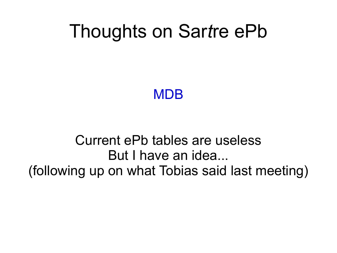### Thoughts on Sar*t*re ePb

**MDB** 

#### Current ePb tables are useless But I have an idea... (following up on what Tobias said last meeting)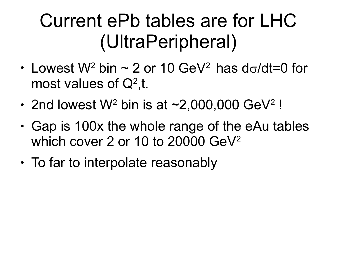# Current ePb tables are for LHC (UltraPeripheral)

- Lowest W<sup>2</sup> bin  $\sim$  2 or 10 GeV<sup>2</sup> has do/dt=0 for most values of  $Q^2$ ,t.
- 2nd lowest  $W^2$  bin is at  $\sim$  2,000,000 GeV<sup>2</sup> !
- $\cdot$  Gap is 100x the whole range of the eAu tables which cover 2 or 10 to 20000 GeV<sup>2</sup>
- $\cdot$  To far to interpolate reasonably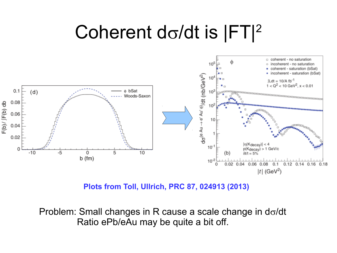## Coherent d $\sigma$ /dt is  $|FT|^2$



**Plots from Toll, Ullrich, PRC 87, 024913 (2013)**

Problem: Small changes in R cause a scale change in  $d\sigma/dt$ Ratio ePb/eAu may be quite a bit off.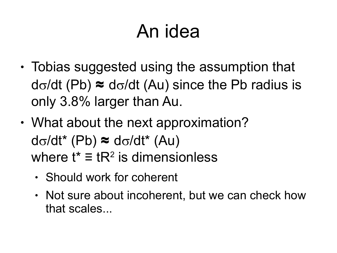# An idea

- $\cdot$  Tobias suggested using the assumption that  $d\sigma/dt$  (Pb)  $\approx$  d $\sigma/dt$  (Au) since the Pb radius is only 3.8% larger than Au.
- What about the next approximation?  $d\sigma/dt^*$  (Pb)  $\approx$   $d\sigma/dt^*$  (Au) where  $t^* \equiv tR^2$  is dimensionless
	- Should work for coherent
	- Not sure about incoherent, but we can check how that scales...